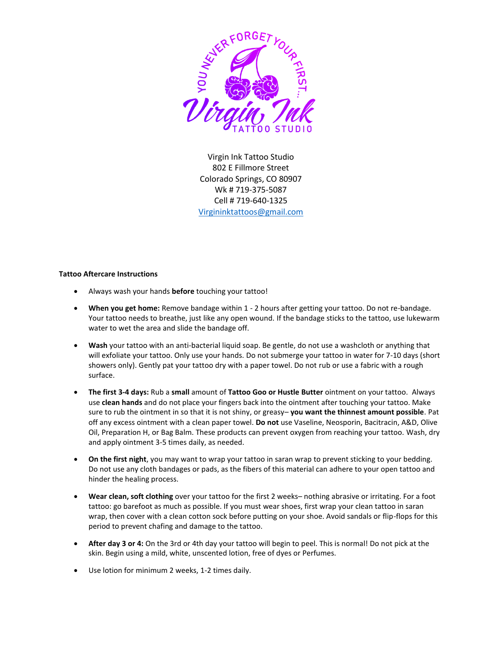

Virgin Ink Tattoo Studio 802 E Fillmore Street Colorado Springs, CO 80907 Wk # 719-375-5087 Cell # 719-640-1325 [Virgininktattoos@gmail.com](mailto:Virgininktattoos@gmail.com)

## **Tattoo Aftercare Instructions**

- Always wash your hands **before** touching your tattoo!
- **When you get home:** Remove bandage within 1 2 hours after getting your tattoo. Do not re-bandage. Your tattoo needs to breathe, just like any open wound. If the bandage sticks to the tattoo, use lukewarm water to wet the area and slide the bandage off.
- **Wash** your tattoo with an anti-bacterial liquid soap. Be gentle, do not use a washcloth or anything that will exfoliate your tattoo. Only use your hands. Do not submerge your tattoo in water for 7-10 days (short showers only). Gently pat your tattoo dry with a paper towel. Do not rub or use a fabric with a rough surface.
- **The first 3-4 days:** Rub a **small** amount of **Tattoo Goo or Hustle Butter** ointment on your tattoo. Always use **clean hands** and do not place your fingers back into the ointment after touching your tattoo. Make sure to rub the ointment in so that it is not shiny, or greasy– **you want the thinnest amount possible**. Pat off any excess ointment with a clean paper towel. **Do not** use Vaseline, Neosporin, Bacitracin, A&D, Olive Oil, Preparation H, or Bag Balm. These products can prevent oxygen from reaching your tattoo. Wash, dry and apply ointment 3-5 times daily, as needed.
- **On the first night**, you may want to wrap your tattoo in saran wrap to prevent sticking to your bedding. Do not use any cloth bandages or pads, as the fibers of this material can adhere to your open tattoo and hinder the healing process.
- **Wear clean, soft clothing** over your tattoo for the first 2 weeks– nothing abrasive or irritating. For a foot tattoo: go barefoot as much as possible. If you must wear shoes, first wrap your clean tattoo in saran wrap, then cover with a clean cotton sock before putting on your shoe. Avoid sandals or flip-flops for this period to prevent chafing and damage to the tattoo.
- **After day 3 or 4:** On the 3rd or 4th day your tattoo will begin to peel. This is normal! Do not pick at the skin. Begin using a mild, white, unscented lotion, free of dyes or Perfumes.
- Use lotion for minimum 2 weeks, 1-2 times daily.